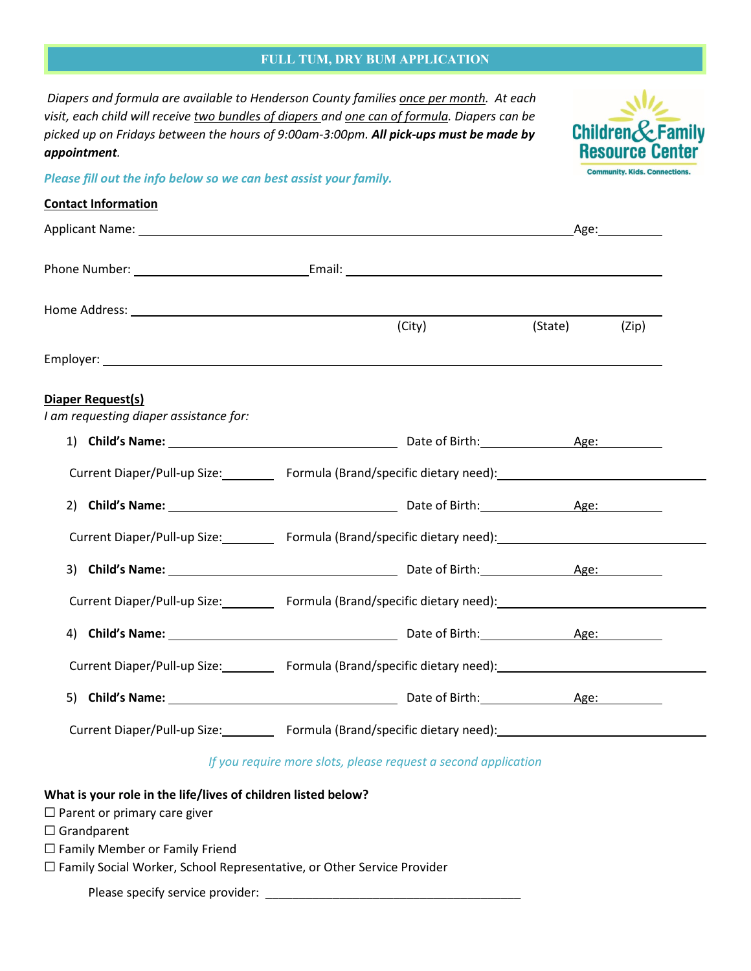# **FULL TUM, DRY BUM APPLICATION**

*Diapers and formula are available to Henderson County families once per month. At each visit, each child will receive two bundles of diapers and one can of formula. Diapers can be picked up on Fridays between the hours of 9:00am-3:00pm. All pick-ups must be made by appointment.* 

*Please fill out the info below so we can best assist your family.*



# **Contact Information**

| Home Address: <u>experimental and a series of the series of the series of the series of the series of the series of the series of the series of the series of the series of the series of the series of the series of the series</u> |                                                                |        |         |       |
|--------------------------------------------------------------------------------------------------------------------------------------------------------------------------------------------------------------------------------------|----------------------------------------------------------------|--------|---------|-------|
|                                                                                                                                                                                                                                      |                                                                | (City) | (State) | (Zip) |
|                                                                                                                                                                                                                                      |                                                                |        |         |       |
| Diaper Request(s)<br>I am requesting diaper assistance for:                                                                                                                                                                          |                                                                |        |         |       |
|                                                                                                                                                                                                                                      |                                                                |        |         |       |
| Current Diaper/Pull-up Size: Formula (Brand/specific dietary need): Current Diaper/Pull-up Size:                                                                                                                                     |                                                                |        |         |       |
|                                                                                                                                                                                                                                      |                                                                |        |         |       |
| Current Diaper/Pull-up Size: Formula (Brand/specific dietary need): Current Diaper/Pull-up Size:                                                                                                                                     |                                                                |        |         |       |
|                                                                                                                                                                                                                                      |                                                                |        |         |       |
| Current Diaper/Pull-up Size: Formula (Brand/specific dietary need): Current Diaper/Pull-up Size:                                                                                                                                     |                                                                |        |         |       |
|                                                                                                                                                                                                                                      |                                                                |        |         |       |
| Current Diaper/Pull-up Size: Formula (Brand/specific dietary need): Current Diaper/Pull-up Size:                                                                                                                                     |                                                                |        |         |       |
| 5) Child's Name: 1980 Child's Name: 2008 Child's Name: 2008 Child's Name: 2008 Child's Name: 2008 Childen Pape                                                                                                                       |                                                                |        |         |       |
| Current Diaper/Pull-up Size: Formula (Brand/specific dietary need): Current Diaper/Pull-up Size:                                                                                                                                     |                                                                |        |         |       |
|                                                                                                                                                                                                                                      | If you require more slots, please request a second application |        |         |       |

# **What is your role in the life/lives of children listed below?**

- □ Parent or primary care giver
- ☐ Grandparent
- □ Family Member or Family Friend

☐ Family Social Worker, School Representative, or Other Service Provider

Please specify service provider: \_\_\_\_\_\_\_\_\_\_\_\_\_\_\_\_\_\_\_\_\_\_\_\_\_\_\_\_\_\_\_\_\_\_\_\_\_\_